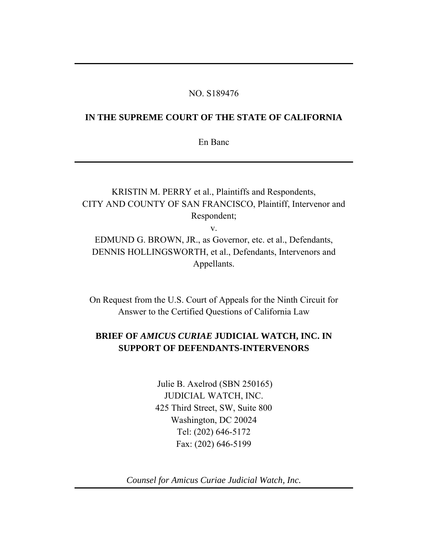### NO. S189476

### **IN THE SUPREME COURT OF THE STATE OF CALIFORNIA**

En Banc

## KRISTIN M. PERRY et al., Plaintiffs and Respondents, CITY AND COUNTY OF SAN FRANCISCO, Plaintiff, Intervenor and Respondent;

v.

EDMUND G. BROWN, JR., as Governor, etc. et al., Defendants, DENNIS HOLLINGSWORTH, et al., Defendants, Intervenors and Appellants.

On Request from the U.S. Court of Appeals for the Ninth Circuit for Answer to the Certified Questions of California Law

## **BRIEF OF** *AMICUS CURIAE* **JUDICIAL WATCH, INC. IN SUPPORT OF DEFENDANTS-INTERVENORS**

Julie B. Axelrod (SBN 250165) JUDICIAL WATCH, INC. 425 Third Street, SW, Suite 800 Washington, DC 20024 Tel: (202) 646-5172 Fax: (202) 646-5199

*Counsel for Amicus Curiae Judicial Watch, Inc.*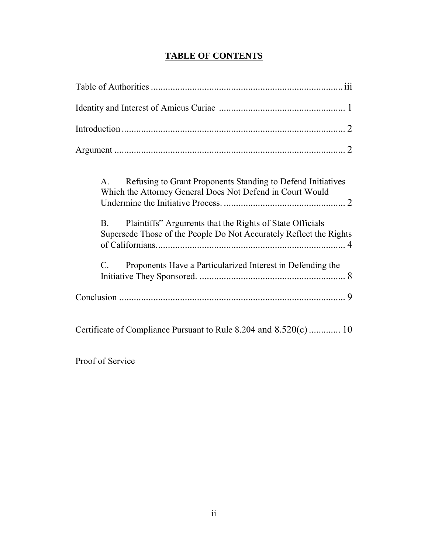# **TABLE OF CONTENTS**

| Refusing to Grant Proponents Standing to Defend Initiatives<br>$\mathsf{A}$ .<br>Which the Attorney General Does Not Defend in Court Would<br>Plaintiffs" Arguments that the Rights of State Officials<br>B.<br>Supersede Those of the People Do Not Accurately Reflect the Rights<br>$\mathcal{C}$ .<br>Proponents Have a Particularized Interest in Defending the |
|---------------------------------------------------------------------------------------------------------------------------------------------------------------------------------------------------------------------------------------------------------------------------------------------------------------------------------------------------------------------|
|                                                                                                                                                                                                                                                                                                                                                                     |
| Certificate of Compliance Pursuant to Rule 8.204 and 8.520(c)  10                                                                                                                                                                                                                                                                                                   |

Proof of Service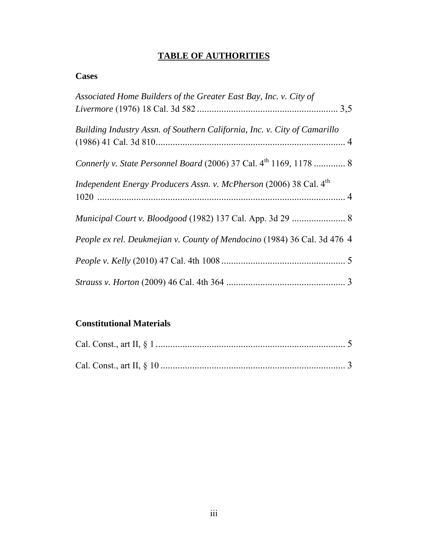## **TABLE OF AUTHORITIES**

## **Cases**

| Associated Home Builders of the Greater East Bay, Inc. v. City of              |  |
|--------------------------------------------------------------------------------|--|
|                                                                                |  |
| Building Industry Assn. of Southern California, Inc. v. City of Camarillo      |  |
|                                                                                |  |
| Connerly v. State Personnel Board (2006) 37 Cal. 4 <sup>th</sup> 1169, 1178  8 |  |
| Independent Energy Producers Assn. v. McPherson (2006) 38 Cal. 4 <sup>th</sup> |  |
|                                                                                |  |
|                                                                                |  |
| People ex rel. Deukmejian v. County of Mendocino (1984) 36 Cal. 3d 476 4       |  |
|                                                                                |  |
|                                                                                |  |

## **Constitutional Materials**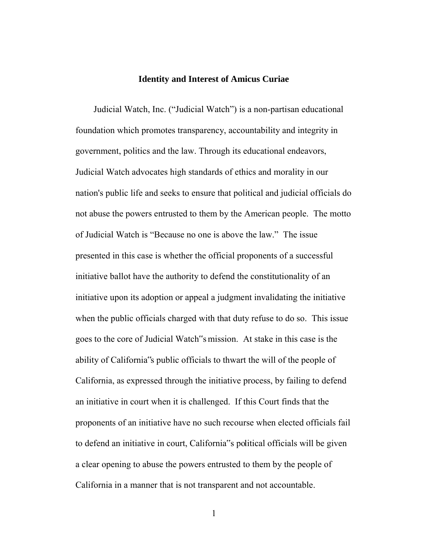#### **Identity and Interest of Amicus Curiae**

 Judicial Watch, Inc. ("Judicial Watch") is a non-partisan educational foundation which promotes transparency, accountability and integrity in government, politics and the law. Through its educational endeavors, Judicial Watch advocates high standards of ethics and morality in our nation's public life and seeks to ensure that political and judicial officials do not abuse the powers entrusted to them by the American people. The motto of Judicial Watch is "Because no one is above the law." The issue presented in this case is whether the official proponents of a successful initiative ballot have the authority to defend the constitutionality of an initiative upon its adoption or appeal a judgment invalidating the initiative when the public officials charged with that duty refuse to do so. This issue goes to the core of Judicial Watch"s mission. At stake in this case is the ability of California"s public officials to thwart the will of the people of California, as expressed through the initiative process, by failing to defend an initiative in court when it is challenged. If this Court finds that the proponents of an initiative have no such recourse when elected officials fail to defend an initiative in court, California"s political officials will be given a clear opening to abuse the powers entrusted to them by the people of California in a manner that is not transparent and not accountable.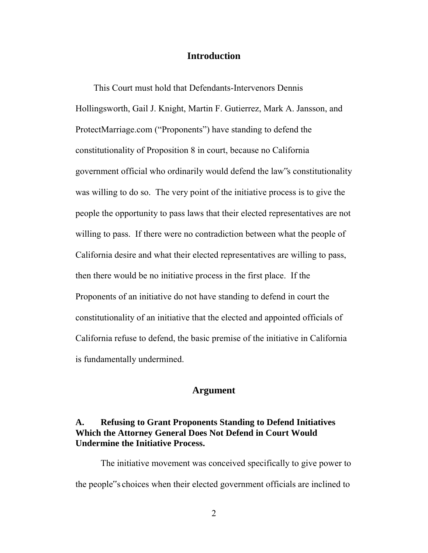### **Introduction**

 This Court must hold that Defendants-Intervenors Dennis Hollingsworth, Gail J. Knight, Martin F. Gutierrez, Mark A. Jansson, and ProtectMarriage.com ("Proponents") have standing to defend the constitutionality of Proposition 8 in court, because no California government official who ordinarily would defend the law"s constitutionality was willing to do so. The very point of the initiative process is to give the people the opportunity to pass laws that their elected representatives are not willing to pass. If there were no contradiction between what the people of California desire and what their elected representatives are willing to pass, then there would be no initiative process in the first place. If the Proponents of an initiative do not have standing to defend in court the constitutionality of an initiative that the elected and appointed officials of California refuse to defend, the basic premise of the initiative in California is fundamentally undermined.

### **Argument**

## **A. Refusing to Grant Proponents Standing to Defend Initiatives Which the Attorney General Does Not Defend in Court Would Undermine the Initiative Process.**

The initiative movement was conceived specifically to give power to the people"s choices when their elected government officials are inclined to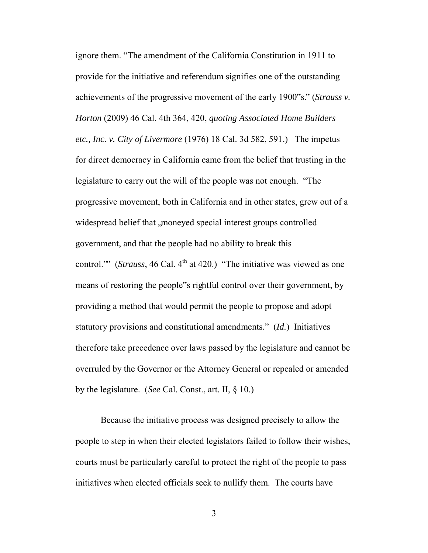ignore them. "The amendment of the California Constitution in 1911 to provide for the initiative and referendum signifies one of the outstanding achievements of the progressive movement of the early 1900"s." (*Strauss v. Horton* (2009) 46 Cal. 4th 364, 420, *quoting Associated Home Builders etc., Inc. v. City of Livermore* (1976) 18 Cal. 3d 582, 591.) The impetus for direct democracy in California came from the belief that trusting in the legislature to carry out the will of the people was not enough. "The progressive movement, both in California and in other states, grew out of a widespread belief that , moneyed special interest groups controlled government, and that the people had no ability to break this control." (*Strauss*, 46 Cal. 4<sup>th</sup> at 420.) "The initiative was viewed as one means of restoring the people"s rightful control over their government, by providing a method that would permit the people to propose and adopt statutory provisions and constitutional amendments." (*Id.*) Initiatives therefore take precedence over laws passed by the legislature and cannot be overruled by the Governor or the Attorney General or repealed or amended by the legislature. (*See* Cal. Const., art. II, § 10.)

Because the initiative process was designed precisely to allow the people to step in when their elected legislators failed to follow their wishes, courts must be particularly careful to protect the right of the people to pass initiatives when elected officials seek to nullify them. The courts have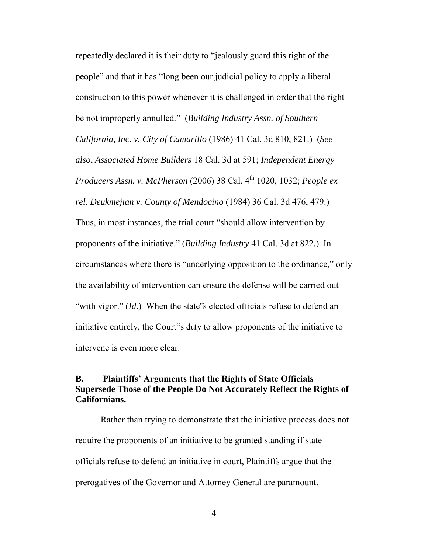repeatedly declared it is their duty to "jealously guard this right of the people" and that it has "long been our judicial policy to apply a liberal construction to this power whenever it is challenged in order that the right be not improperly annulled*.*" (*Building Industry Assn. of Southern California, Inc. v. City of Camarillo* (1986) 41 Cal. 3d 810, 821.) (*See also*, *Associated Home Builders* 18 Cal. 3d at 591; *Independent Energy Producers Assn. v. McPherson* (2006) 38 Cal.  $4^{th}$  1020, 1032; *People ex rel. Deukmejian v. County of Mendocino* (1984) 36 Cal. 3d 476, 479.) Thus, in most instances, the trial court "should allow intervention by proponents of the initiative." (*Building Industry* 41 Cal. 3d at 822*.*) In circumstances where there is "underlying opposition to the ordinance," only the availability of intervention can ensure the defense will be carried out "with vigor." *(Id.)* When the state"s elected officials refuse to defend an initiative entirely, the Court"s duty to allow proponents of the initiative to intervene is even more clear.

## **B. Plaintiffs' Arguments that the Rights of State Officials Supersede Those of the People Do Not Accurately Reflect the Rights of Californians.**

Rather than trying to demonstrate that the initiative process does not require the proponents of an initiative to be granted standing if state officials refuse to defend an initiative in court, Plaintiffs argue that the prerogatives of the Governor and Attorney General are paramount.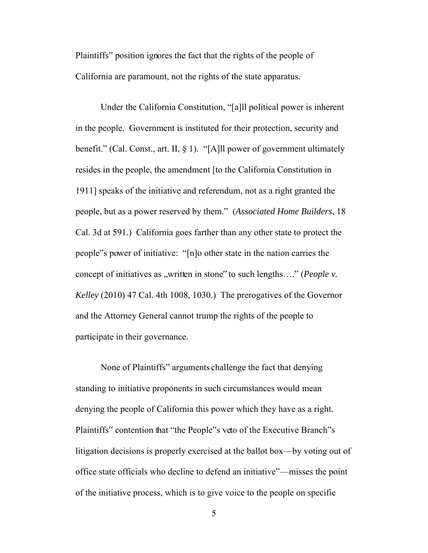Plaintiffs" position ignores the fact that the rights of the people of California are paramount, not the rights of the state apparatus.

Under the California Constitution, "[a]ll political power is inherent in the people. Government is instituted for their protection, security and benefit." (Cal. Const., art. II, § 1). "[A]ll power of government ultimately resides in the people, the amendment [to the California Constitution in 1911] speaks of the initiative and referendum, not as a right granted the people, but as a power reserved by them." (*Associated Home Builders*, 18 Cal. 3d at 591.) California goes farther than any other state to protect the people"s power of initiative: "[n]o other state in the nation carries the concept of initiatives as "written in stone" to such lengths…." (*People v. Kelley* (2010) 47 Cal. 4th 1008, 1030.) The prerogatives of the Governor and the Attorney General cannot trump the rights of the people to participate in their governance.

None of Plaintiffs" arguments challenge the fact that denying standing to initiative proponents in such circumstances would mean denying the people of California this power which they have as a right. Plaintiffs" contention that "the People"s veto of the Executive Branch"s litigation decisions is properly exercised at the ballot box—by voting out of office state officials who decline to defend an initiative"—misses the point of the initiative process, which is to give voice to the people on specific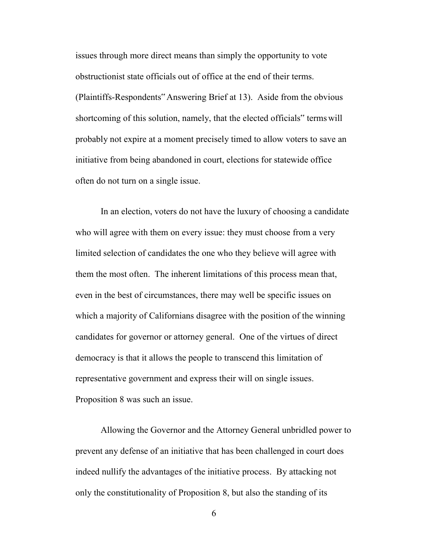issues through more direct means than simply the opportunity to vote obstructionist state officials out of office at the end of their terms. (Plaintiffs-Respondents" Answering Brief at 13). Aside from the obvious shortcoming of this solution, namely, that the elected officials" terms will probably not expire at a moment precisely timed to allow voters to save an initiative from being abandoned in court, elections for statewide office often do not turn on a single issue.

In an election, voters do not have the luxury of choosing a candidate who will agree with them on every issue: they must choose from a very limited selection of candidates the one who they believe will agree with them the most often. The inherent limitations of this process mean that, even in the best of circumstances, there may well be specific issues on which a majority of Californians disagree with the position of the winning candidates for governor or attorney general. One of the virtues of direct democracy is that it allows the people to transcend this limitation of representative government and express their will on single issues. Proposition 8 was such an issue.

Allowing the Governor and the Attorney General unbridled power to prevent any defense of an initiative that has been challenged in court does indeed nullify the advantages of the initiative process. By attacking not only the constitutionality of Proposition 8, but also the standing of its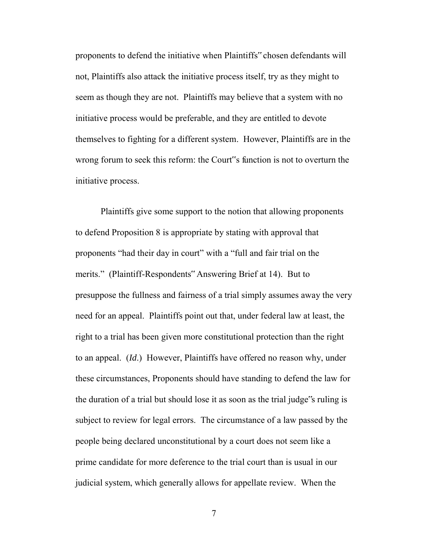proponents to defend the initiative when Plaintiffs" chosen defendants will not, Plaintiffs also attack the initiative process itself, try as they might to seem as though they are not. Plaintiffs may believe that a system with no initiative process would be preferable, and they are entitled to devote themselves to fighting for a different system. However, Plaintiffs are in the wrong forum to seek this reform: the Court"s function is not to overturn the initiative process.

Plaintiffs give some support to the notion that allowing proponents to defend Proposition 8 is appropriate by stating with approval that proponents "had their day in court" with a "full and fair trial on the merits." (Plaintiff-Respondents" Answering Brief at 14). But to presuppose the fullness and fairness of a trial simply assumes away the very need for an appeal. Plaintiffs point out that, under federal law at least, the right to a trial has been given more constitutional protection than the right to an appeal. (*Id*.) However, Plaintiffs have offered no reason why, under these circumstances, Proponents should have standing to defend the law for the duration of a trial but should lose it as soon as the trial judge"s ruling is subject to review for legal errors. The circumstance of a law passed by the people being declared unconstitutional by a court does not seem like a prime candidate for more deference to the trial court than is usual in our judicial system, which generally allows for appellate review. When the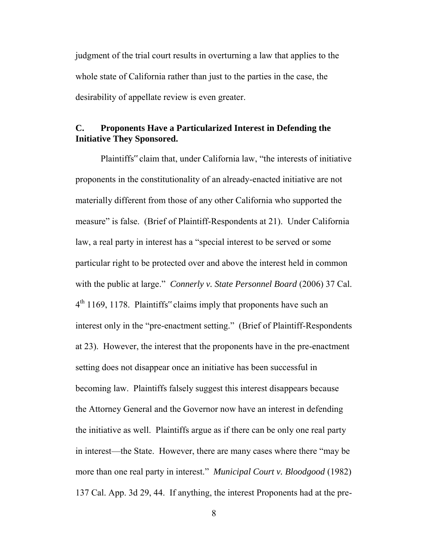judgment of the trial court results in overturning a law that applies to the whole state of California rather than just to the parties in the case, the desirability of appellate review is even greater.

## **C. Proponents Have a Particularized Interest in Defending the Initiative They Sponsored.**

Plaintiffs" claim that, under California law, "the interests of initiative proponents in the constitutionality of an already-enacted initiative are not materially different from those of any other California who supported the measure" is false. (Brief of Plaintiff-Respondents at 21). Under California law, a real party in interest has a "special interest to be served or some particular right to be protected over and above the interest held in common with the public at large." *Connerly v. State Personnel Board* (2006) 37 Cal. 4<sup>th</sup> 1169, 1178. Plaintiffs" claims imply that proponents have such an interest only in the "pre-enactment setting." (Brief of Plaintiff-Respondents at 23). However, the interest that the proponents have in the pre-enactment setting does not disappear once an initiative has been successful in becoming law. Plaintiffs falsely suggest this interest disappears because the Attorney General and the Governor now have an interest in defending the initiative as well. Plaintiffs argue as if there can be only one real party in interest—the State. However, there are many cases where there "may be more than one real party in interest." *Municipal Court v. Bloodgood* (1982) 137 Cal. App. 3d 29, 44. If anything, the interest Proponents had at the pre-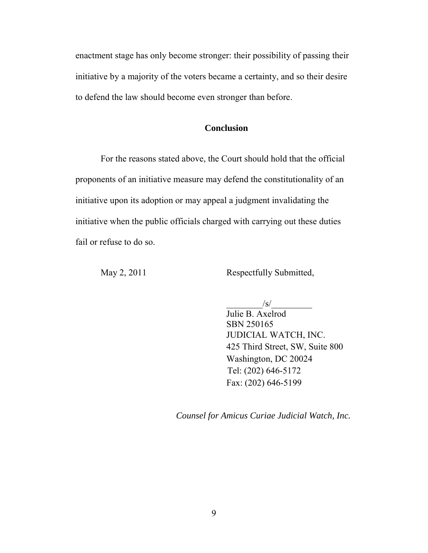enactment stage has only become stronger: their possibility of passing their initiative by a majority of the voters became a certainty, and so their desire to defend the law should become even stronger than before.

### **Conclusion**

For the reasons stated above, the Court should hold that the official proponents of an initiative measure may defend the constitutionality of an initiative upon its adoption or may appeal a judgment invalidating the initiative when the public officials charged with carrying out these duties fail or refuse to do so.

May 2, 2011 Respectfully Submitted,

 $\frac{|s|}{s}$ 

Julie B. Axelrod SBN 250165 JUDICIAL WATCH, INC. 425 Third Street, SW, Suite 800 Washington, DC 20024 Tel: (202) 646-5172 Fax: (202) 646-5199

*Counsel for Amicus Curiae Judicial Watch, Inc.*